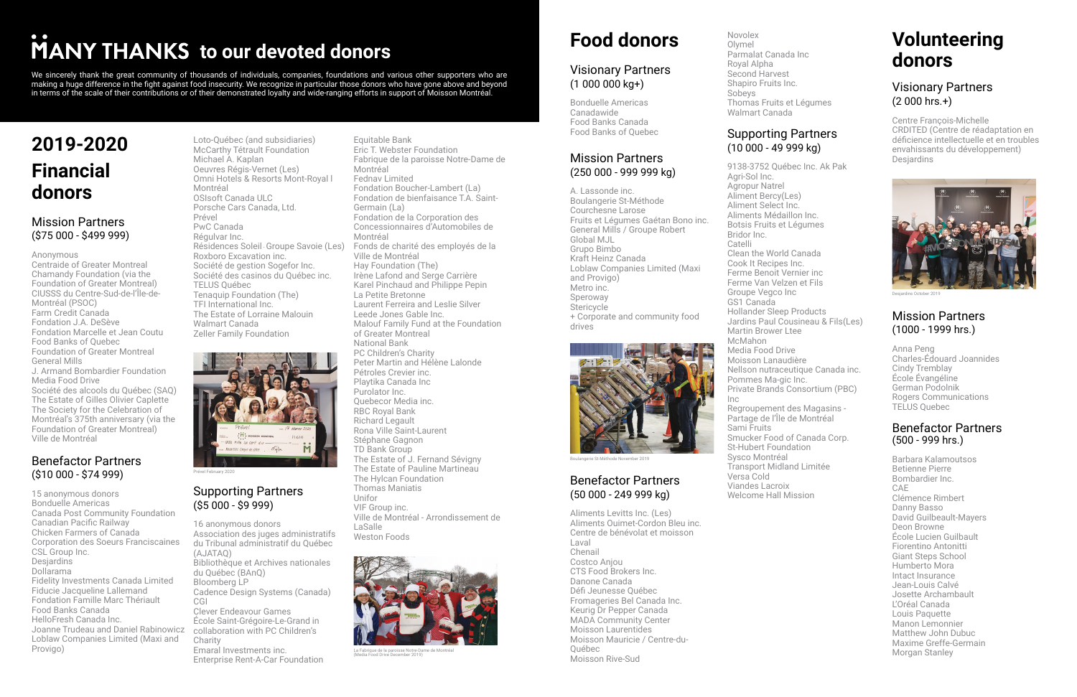### **2019-2020 Financial donors**

#### Mission Partners (\$75 000 - \$499 999)

#### Anonymous

Centraide of Greater Montreal Chamandy Foundation (via the Foundation of Greater Montreal) CIUSSS du Centre-Sud-de-l'Île-de-Montréal (PSOC) Farm Credit Canada Fondation J.A. DeSève Fondation Marcelle et Jean Coutu Food Banks of Quebec Foundation of Greater Montreal General Mills J. Armand Bombardier Foundation

Media Food Drive Société des alcools du Québec (SAQ) The Estate of Gilles Olivier Caplette The Society for the Celebration of Montréal's 375th anniversary (via the Foundation of Greater Montreal) Ville de Montréal

#### Benefactor Partners (\$10 000 - \$74 999)

15 anonymous donors Bonduelle Americas Canada Post Community Foundation Canadian Pacific Railway Chicken Farmers of Canada Corporation des Soeurs Franciscaines CSL Group Inc. **Desjardins** Dollarama Fidelity Investments Canada Limited Fiducie Jacqueline Lallemand Fondation Famille Marc Thériault Food Banks Canada HelloFresh Canada Inc. Joanne Trudeau and Daniel Rabinowicz collaboration with PC Children's Loblaw Companies Limited (Maxi and Provigo)

#### Visionary Partners  $(1 000 000 kg+)$

Loto-Québec (and subsidiaries) McCarthy Tétrault Foundation Michael A. Kaplan Oeuvres Régis-Vernet (Les) Omni Hotels & Resorts Mont-Royal l Montréal OSIsoft Canada ULC Porsche Cars Canada, Ltd. Prével PwC Canada Régulvar Inc. Résidences Soleil - Groupe Savoie (Les) Roxboro Excavation inc. Société de gestion Sogefor Inc. Société des casinos du Québec inc. TELUS Québec Tenaquip Foundation (The) TFI International Inc. The Estate of Lorraine Malouin Walmart Canada Zeller Family Foundation



Equitable Bank Eric T. Webster Foundation Fabrique de la paroisse Notre-Dame de Montréal Fednav Limited Fondation Boucher-Lambert (La) Fondation de bienfaisance T.A. Saint-Germain (La) Fondation de la Corporation des Concessionnaires d'Automobiles de Montréal Fonds de charité des employés de la Ville de Montréal Hay Foundation (The) Irène Lafond and Serge Carrière Karel Pinchaud and Philippe Pepin La Petite Bretonne Laurent Ferreira and Leslie Silver Leede Jones Gable Inc. Malouf Family Fund at the Foundation of Greater Montreal National Bank PC Children's Charity Peter Martin and Hélène Lalonde Pétroles Crevier inc. Playtika Canada Inc Purolator Inc. Quebecor Media inc. RBC Royal Bank Richard Legault Rona Ville Saint-Laurent Stéphane Gagnon TD Bank Group The Estate of J. Fernand Sévigny The Estate of Pauline Martineau The Hylcan Foundation Thomas Maniatis Unifor VIF Group inc. Ville de Montréal - Arrondissement de LaSalle Weston Foods

### **Food donors**

Bonduelle Americas Canadawide Food Banks Canada Food Banks of Quebec

#### Mission Partners (250 000 - 999 999 kg)

A. Lassonde inc. Boulangerie St-Méthode Courchesne Larose Fruits et Légumes Gaétan Bono inc. General Mills / Groupe Robert Global MJL Grupo Bimbo Kraft Heinz Canada Loblaw Companies Limited (Maxi and Provigo) Metro inc. Speroway **Stericycle** + Corporate and community food drives

Novolex Olymel Parmalat Canada Inc Royal Alpha Second Harvest Shapiro Fruits Inc. Sobeys Thomas Fruits et Légumes Walmart Canada

#### Supporting Partners (10 000 - 49 999 kg)

9138-3752 Québec Inc. Ak Pak

Agri-Sol Inc. Agropur Natrel Aliment Bercy(Les) Aliment Select Inc. Aliments Médaillon Inc. Botsis Fruits et Légumes Bridor Inc. Catelli Clean the World Canada Cook It Recipes Inc. Ferme Benoit Vernier inc Ferme Van Velzen et Fils Groupe Vegco Inc GS1 Canada Hollander Sleep Products Martin Brower Ltee McMahon Media Food Drive Moisson Lanaudière Pommes Ma-gic Inc. Inc

Jardins Paul Cousineau & Fils(Les)

Nellson nutraceutique Canada inc. Private Brands Consortium (PBC)

Regroupement des Magasins - Partage de l'Île de Montréal Sami Fruits Smucker Food of Canada Corp. St-Hubert Foundation Sysco Montréal Transport Midland Limitée Versa Cold Viandes Lacroix Welcome Hall Mission

#### Visionary Partners (2 000 hrs.+)

Centre François-Michelle CRDITED (Centre de réadaptation en déficience intellectuelle et en troubles envahissants du développement) Desjardins

#### Supporting Partners (\$5 000 - \$9 999)

16 anonymous donors Association des juges administratifs du Tribunal administratif du Québec (AJATAQ) Bibliothèque et Archives nationales du Québec (BAnQ) Bloomberg LP Cadence Design Systems (Canada) CGI Clever Endeavour Games École Saint-Grégoire-Le-Grand in **Charity** Emaral Investments inc. Enterprise Rent-A-Car Foundation

#### Benefactor Partners (50 000 - 249 999 kg)

Aliments Levitts Inc. (Les) Aliments Ouimet-Cordon Bleu inc. Centre de bénévolat et moisson Laval Chenail Costco Anjou CTS Food Brokers Inc. Danone Canada Défi Jeunesse Québec Fromageries Bel Canada Inc. Keurig Dr Pepper Canada MADA Community Center Moisson Laurentides Moisson Mauricie / Centre-du-Québec Moisson Rive-Sud

### **Volunteering donors**

Prével February 2020



La Fabrique de la paroisse Notre-Dame de Montréal (Media Food Drive December 2019)



Boulangerie St-Méthode November 2019



Desjardins October 2019

#### Mission Partners (1000 - 1999 hrs.)

Anna Peng Charles-Édouard Joannides Cindy Tremblay École Évangéline German Podolnik Rogers Communications TELUS Quebec

#### Benefactor Partners (500 - 999 hrs.)

Barbara Kalamoutsos Betienne Pierre Bombardier Inc. CAE Clémence Rimbert Danny Basso David Guilbeault-Mayers Deon Browne École Lucien Guilbault Fiorentino Antonitti Giant Steps School Humberto Mora Intact Insurance Jean-Louis Calvé Josette Archambault L'Oréal Canada Louis Paquette Manon Lemonnier Matthew John Dubuc Maxime Greffe-Germain Morgan Stanley

# **MANY THANKS** to our devoted donors

We sincerely thank the great community of thousands of individuals, companies, foundations and various other supporters who are making a huge difference in the fight against food insecurity. We recognize in particular those donors who have gone above and beyond in terms of the scale of their contributions or of their demonstrated loyalty and wide-ranging efforts in support of Moisson Montréal.